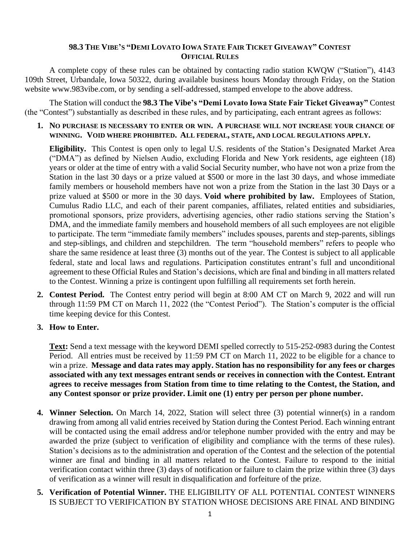## 98.3 THE VIBE'S "DEMI LOVATO IOWA STATE FAIR TICKET GIVEAWAY" CONTEST **OFFICIAL RULES**

A complete copy of these rules can be obtained by contacting radio station KWQW ("Station"), 4143 109th Street, Urbandale, Iowa 50322, during available business hours Monday through Friday, on the Station website www.983vibe.com, or by sending a self-addressed, stamped envelope to the above address.

The Station will conduct the **98.3 The Vibe's "Demi Lovato Iowa State Fair Ticket Giveaway"** Contest (the "Contest") substantially as described in these rules, and by participating, each entrant agrees as follows:

**1. NO PURCHASE IS NECESSARY TO ENTER OR WIN. A PURCHASE WILL NOT INCREASE YOUR CHANCE OF WINNING. VOID WHERE PROHIBITED. ALL FEDERAL, STATE, AND LOCAL REGULATIONS APPLY.**

**Eligibility.** This Contest is open only to legal U.S. residents of the Station's Designated Market Area ("DMA") as defined by Nielsen Audio, excluding Florida and New York residents, age eighteen (18) years or older at the time of entry with a valid Social Security number, who have not won a prize from the Station in the last 30 days or a prize valued at \$500 or more in the last 30 days, and whose immediate family members or household members have not won a prize from the Station in the last 30 Days or a prize valued at \$500 or more in the 30 days. **Void where prohibited by law.** Employees of Station, Cumulus Radio LLC, and each of their parent companies, affiliates, related entities and subsidiaries, promotional sponsors, prize providers, advertising agencies, other radio stations serving the Station's DMA, and the immediate family members and household members of all such employees are not eligible to participate. The term "immediate family members" includes spouses, parents and step-parents, siblings and step-siblings, and children and stepchildren. The term "household members" refers to people who share the same residence at least three (3) months out of the year. The Contest is subject to all applicable federal, state and local laws and regulations. Participation constitutes entrant's full and unconditional agreement to these Official Rules and Station's decisions, which are final and binding in all matters related to the Contest. Winning a prize is contingent upon fulfilling all requirements set forth herein.

- **2. Contest Period.** The Contest entry period will begin at 8:00 AM CT on March 9, 2022 and will run through 11:59 PM CT on March 11, 2022 (the "Contest Period"). The Station's computer is the official time keeping device for this Contest.
- **3. How to Enter.**

**Text:** Send a text message with the keyword DEMI spelled correctly to 515-252-0983 during the Contest Period. All entries must be received by 11:59 PM CT on March 11, 2022 to be eligible for a chance to win a prize. **Message and data rates may apply. Station has no responsibility for any fees or charges associated with any text messages entrant sends or receives in connection with the Contest. Entrant agrees to receive messages from Station from time to time relating to the Contest, the Station, and any Contest sponsor or prize provider. Limit one (1) entry per person per phone number.**

- **4. Winner Selection.** On March 14, 2022, Station will select three (3) potential winner(s) in a random drawing from among all valid entries received by Station during the Contest Period. Each winning entrant will be contacted using the email address and/or telephone number provided with the entry and may be awarded the prize (subject to verification of eligibility and compliance with the terms of these rules). Station's decisions as to the administration and operation of the Contest and the selection of the potential winner are final and binding in all matters related to the Contest. Failure to respond to the initial verification contact within three (3) days of notification or failure to claim the prize within three (3) days of verification as a winner will result in disqualification and forfeiture of the prize.
- **5. Verification of Potential Winner.** THE ELIGIBILITY OF ALL POTENTIAL CONTEST WINNERS IS SUBJECT TO VERIFICATION BY STATION WHOSE DECISIONS ARE FINAL AND BINDING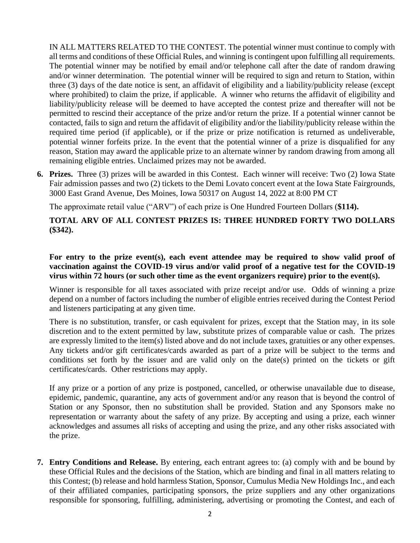IN ALL MATTERS RELATED TO THE CONTEST. The potential winner must continue to comply with all terms and conditions of these Official Rules, and winning is contingent upon fulfilling all requirements. The potential winner may be notified by email and/or telephone call after the date of random drawing and/or winner determination. The potential winner will be required to sign and return to Station, within three (3) days of the date notice is sent, an affidavit of eligibility and a liability/publicity release (except where prohibited) to claim the prize, if applicable. A winner who returns the affidavit of eligibility and liability/publicity release will be deemed to have accepted the contest prize and thereafter will not be permitted to rescind their acceptance of the prize and/or return the prize. If a potential winner cannot be contacted, fails to sign and return the affidavit of eligibility and/or the liability/publicity release within the required time period (if applicable), or if the prize or prize notification is returned as undeliverable, potential winner forfeits prize. In the event that the potential winner of a prize is disqualified for any reason, Station may award the applicable prize to an alternate winner by random drawing from among all remaining eligible entries. Unclaimed prizes may not be awarded.

**6. Prizes.** Three (3) prizes will be awarded in this Contest. Each winner will receive: Two (2) Iowa State Fair admission passes and two (2) tickets to the Demi Lovato concert event at the Iowa State Fairgrounds, 3000 East Grand Avenue, Des Moines, Iowa 50317 on August 14, 2022 at 8:00 PM CT

The approximate retail value ("ARV") of each prize is One Hundred Fourteen Dollars (**\$114).** 

## **TOTAL ARV OF ALL CONTEST PRIZES IS: THREE HUNDRED FORTY TWO DOLLARS (\$342).**

**For entry to the prize event(s), each event attendee may be required to show valid proof of vaccination against the COVID-19 virus and/or valid proof of a negative test for the COVID-19 virus within 72 hours (or such other time as the event organizers require) prior to the event(s).**

Winner is responsible for all taxes associated with prize receipt and/or use. Odds of winning a prize depend on a number of factors including the number of eligible entries received during the Contest Period and listeners participating at any given time.

There is no substitution, transfer, or cash equivalent for prizes, except that the Station may, in its sole discretion and to the extent permitted by law, substitute prizes of comparable value or cash. The prizes are expressly limited to the item(s) listed above and do not include taxes, gratuities or any other expenses. Any tickets and/or gift certificates/cards awarded as part of a prize will be subject to the terms and conditions set forth by the issuer and are valid only on the date(s) printed on the tickets or gift certificates/cards. Other restrictions may apply.

If any prize or a portion of any prize is postponed, cancelled, or otherwise unavailable due to disease, epidemic, pandemic, quarantine, any acts of government and/or any reason that is beyond the control of Station or any Sponsor, then no substitution shall be provided. Station and any Sponsors make no representation or warranty about the safety of any prize. By accepting and using a prize, each winner acknowledges and assumes all risks of accepting and using the prize, and any other risks associated with the prize.

**7. Entry Conditions and Release.** By entering, each entrant agrees to: (a) comply with and be bound by these Official Rules and the decisions of the Station, which are binding and final in all matters relating to this Contest; (b) release and hold harmless Station, Sponsor, Cumulus Media New Holdings Inc., and each of their affiliated companies, participating sponsors, the prize suppliers and any other organizations responsible for sponsoring, fulfilling, administering, advertising or promoting the Contest, and each of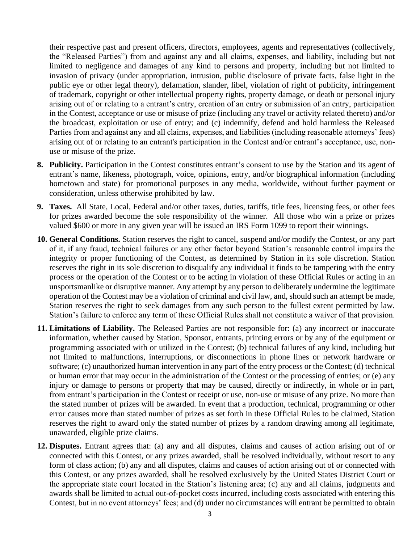their respective past and present officers, directors, employees, agents and representatives (collectively, the "Released Parties") from and against any and all claims, expenses, and liability, including but not limited to negligence and damages of any kind to persons and property, including but not limited to invasion of privacy (under appropriation, intrusion, public disclosure of private facts, false light in the public eye or other legal theory), defamation, slander, libel, violation of right of publicity, infringement of trademark, copyright or other intellectual property rights, property damage, or death or personal injury arising out of or relating to a entrant's entry, creation of an entry or submission of an entry, participation in the Contest, acceptance or use or misuse of prize (including any travel or activity related thereto) and/or the broadcast, exploitation or use of entry; and (c) indemnify, defend and hold harmless the Released Parties from and against any and all claims, expenses, and liabilities (including reasonable attorneys' fees) arising out of or relating to an entrant's participation in the Contest and/or entrant's acceptance, use, nonuse or misuse of the prize.

- **8. Publicity.** Participation in the Contest constitutes entrant's consent to use by the Station and its agent of entrant's name, likeness, photograph, voice, opinions, entry, and/or biographical information (including hometown and state) for promotional purposes in any media, worldwide, without further payment or consideration, unless otherwise prohibited by law.
- **9. Taxes.** All State, Local, Federal and/or other taxes, duties, tariffs, title fees, licensing fees, or other fees for prizes awarded become the sole responsibility of the winner. All those who win a prize or prizes valued \$600 or more in any given year will be issued an IRS Form 1099 to report their winnings.
- **10. General Conditions.** Station reserves the right to cancel, suspend and/or modify the Contest, or any part of it, if any fraud, technical failures or any other factor beyond Station's reasonable control impairs the integrity or proper functioning of the Contest, as determined by Station in its sole discretion. Station reserves the right in its sole discretion to disqualify any individual it finds to be tampering with the entry process or the operation of the Contest or to be acting in violation of these Official Rules or acting in an unsportsmanlike or disruptive manner. Any attempt by any person to deliberately undermine the legitimate operation of the Contest may be a violation of criminal and civil law, and, should such an attempt be made, Station reserves the right to seek damages from any such person to the fullest extent permitted by law. Station's failure to enforce any term of these Official Rules shall not constitute a waiver of that provision.
- **11. Limitations of Liability.** The Released Parties are not responsible for: (a) any incorrect or inaccurate information, whether caused by Station, Sponsor, entrants, printing errors or by any of the equipment or programming associated with or utilized in the Contest; (b) technical failures of any kind, including but not limited to malfunctions, interruptions, or disconnections in phone lines or network hardware or software; (c) unauthorized human intervention in any part of the entry process or the Contest; (d) technical or human error that may occur in the administration of the Contest or the processing of entries; or (e) any injury or damage to persons or property that may be caused, directly or indirectly, in whole or in part, from entrant's participation in the Contest or receipt or use, non-use or misuse of any prize. No more than the stated number of prizes will be awarded. In event that a production, technical, programming or other error causes more than stated number of prizes as set forth in these Official Rules to be claimed, Station reserves the right to award only the stated number of prizes by a random drawing among all legitimate, unawarded, eligible prize claims.
- **12. Disputes.** Entrant agrees that: (a) any and all disputes, claims and causes of action arising out of or connected with this Contest, or any prizes awarded, shall be resolved individually, without resort to any form of class action; (b) any and all disputes, claims and causes of action arising out of or connected with this Contest, or any prizes awarded, shall be resolved exclusively by the United States District Court or the appropriate state court located in the Station's listening area; (c) any and all claims, judgments and awards shall be limited to actual out-of-pocket costs incurred, including costs associated with entering this Contest, but in no event attorneys' fees; and (d) under no circumstances will entrant be permitted to obtain